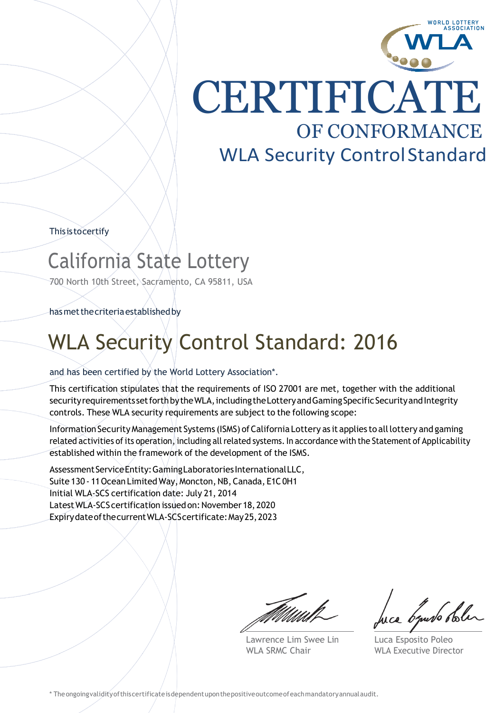

**CERTIFICATE** OF CONFORMANCE WLA Security Control Standard

Thisistocertify

### California State Lottery

700 North 10th Street, Sacramento, CA 95811, USA

hasmetthecriteriaestablishedby

### WLA Security Control Standard: 2016

### and has been certified by the World Lottery Association\*.

This certification stipulates that the requirements of ISO 27001 are met, together with the additional security requirements set forth by the WLA, including the Lottery and Gaming Specific Security and Integrity controls. These WLA security requirements are subject to the following scope:

Information Security Management Systems (ISMS) of California Lottery as it applies to all lottery and gaming related activities of its operation, including all related systems. In accordance with the Statement of Applicability established within the framework of the development of the ISMS.

Assessment Service Entity: Gaming Laboratories International LLC, Suite 130 - 11 Ocean Limited Way, Moncton, NB, Canada, E1C0H1 Initial WLA-SCS certification date: July 21, 2014 LatestWLA-SCScertification issuedon: November 18,2020 ExpirydateofthecurrentWLA-SCScertificate:May25,2023

Lawrence Lim Swee Lin WLA SRMC Chair

byuro bole

Luca Esposito Poleo WLA Executive Director

\* Theongoingvalidityofthiscertificateisdependentuponthepositiveoutcomeofeachmandatoryannualaudit.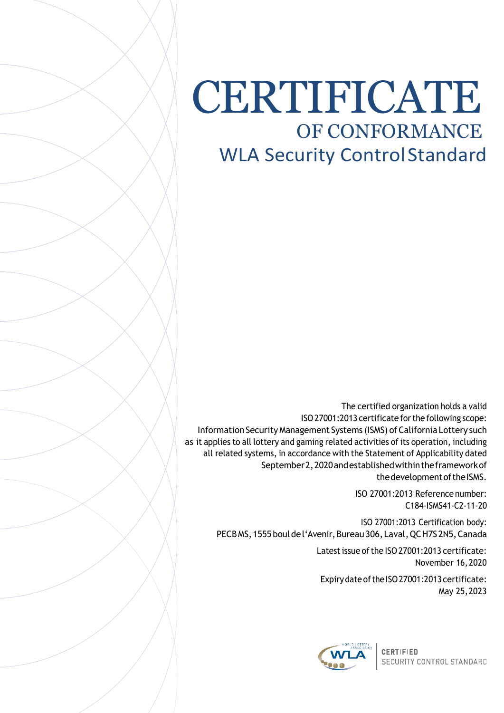## CERTIFICATE OF CONFORMANCE WLA Security Control Standard

The certified organization holds a valid ISO27001:2013 certificate forthe following scope: Information Security Management Systems (ISMS) of California Lottery such as it applies to all lottery and gaming related activities of its operation, including all related systems, in accordance with the Statement of Applicability dated September 2, 2020 and established within the framework of the development of the ISMS.

> ISO 27001:2013 Reference number: C184-ISMS41-C2-11-20

ISO 27001:2013 Certification body: PECBMS, 1555 boul de l'Avenir, Bureau 306, Laval, QC H7S 2N5, Canada

> Latest issue of the ISO 27001:2013 certificate: November 16,2020

Expiry date of the ISO 27001:2013 certificate: May 25,2023



**CERTIFIED** SECURITY CONTROL STANDARD